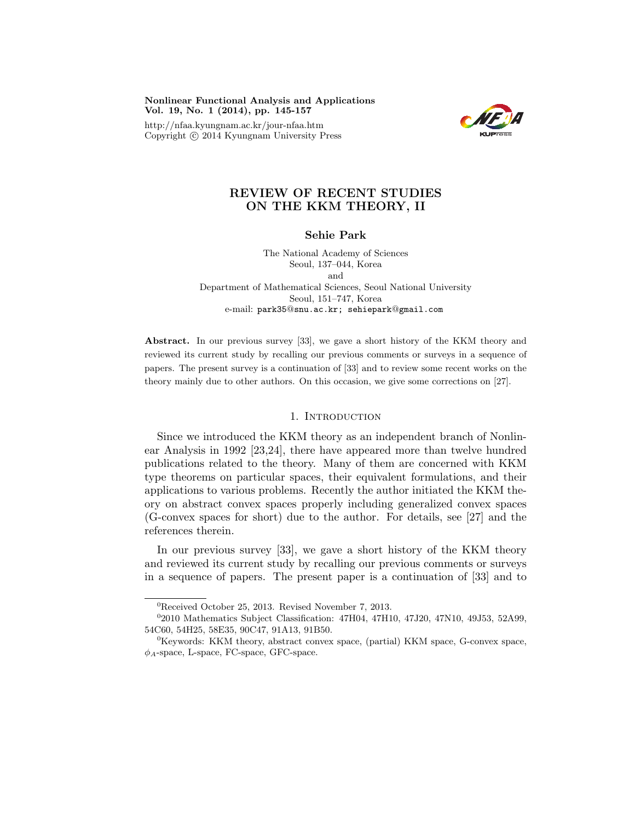Nonlinear Functional Analysis and Applications Vol. 19, No. 1 (2014), pp. 145-157

http://nfaa.kyungnam.ac.kr/jour-nfaa.htm Copyright  $\odot$  2014 Kyungnam University Press



# REVIEW OF RECENT STUDIES ON THE KKM THEORY, II

## Sehie Park

The National Academy of Sciences Seoul, 137–044, Korea and Department of Mathematical Sciences, Seoul National University Seoul, 151–747, Korea e-mail: park35@snu.ac.kr; sehiepark@gmail.com

Abstract. In our previous survey [33], we gave a short history of the KKM theory and reviewed its current study by recalling our previous comments or surveys in a sequence of papers. The present survey is a continuation of [33] and to review some recent works on the theory mainly due to other authors. On this occasion, we give some corrections on [27].

### 1. INTRODUCTION

Since we introduced the KKM theory as an independent branch of Nonlinear Analysis in 1992 [23,24], there have appeared more than twelve hundred publications related to the theory. Many of them are concerned with KKM type theorems on particular spaces, their equivalent formulations, and their applications to various problems. Recently the author initiated the KKM theory on abstract convex spaces properly including generalized convex spaces (G-convex spaces for short) due to the author. For details, see [27] and the references therein.

In our previous survey [33], we gave a short history of the KKM theory and reviewed its current study by recalling our previous comments or surveys in a sequence of papers. The present paper is a continuation of [33] and to

<sup>0</sup>Received October 25, 2013. Revised November 7, 2013.

<sup>0</sup> 2010 Mathematics Subject Classification: 47H04, 47H10, 47J20, 47N10, 49J53, 52A99, 54C60, 54H25, 58E35, 90C47, 91A13, 91B50.

<sup>0</sup>Keywords: KKM theory, abstract convex space, (partial) KKM space, G-convex space,  $\phi_A$ -space, L-space, FC-space, GFC-space.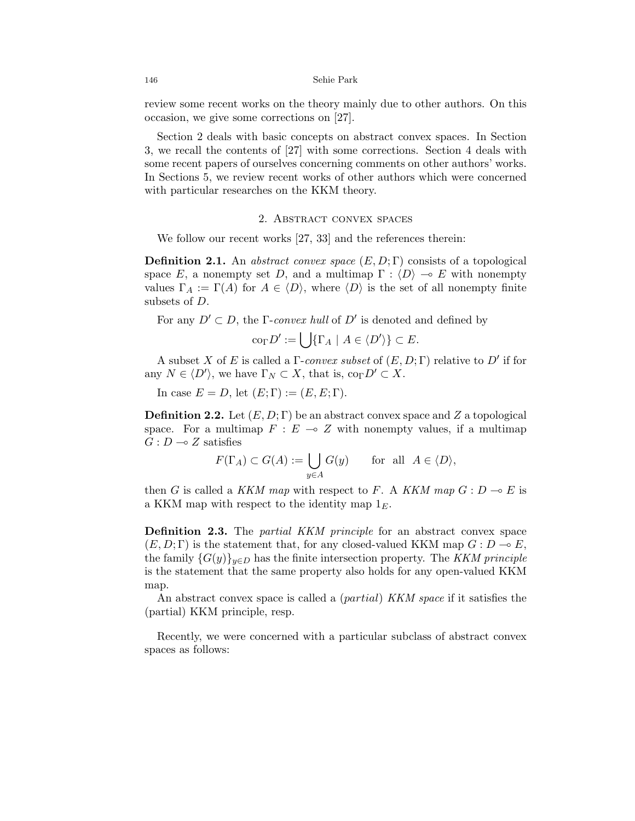review some recent works on the theory mainly due to other authors. On this occasion, we give some corrections on [27].

Section 2 deals with basic concepts on abstract convex spaces. In Section 3, we recall the contents of [27] with some corrections. Section 4 deals with some recent papers of ourselves concerning comments on other authors' works. In Sections 5, we review recent works of other authors which were concerned with particular researches on the KKM theory.

#### 2. Abstract convex spaces

We follow our recent works [27, 33] and the references therein:

**Definition 2.1.** An abstract convex space  $(E, D; \Gamma)$  consists of a topological space E, a nonempty set D, and a multimap  $\Gamma : \langle D \rangle \to E$  with nonempty values  $\Gamma_A := \Gamma(A)$  for  $A \in \langle D \rangle$ , where  $\langle D \rangle$  is the set of all nonempty finite subsets of D.

For any  $D' \subset D$ , the *Γ-convex hull* of  $D'$  is denoted and defined by

$$
\text{co}_{\Gamma} D' := \bigcup \{ \Gamma_A \mid A \in \langle D' \rangle \} \subset E.
$$

A subset X of E is called a  $\Gamma$ -convex subset of  $(E, D; \Gamma)$  relative to  $D'$  if for any  $N \in \langle D' \rangle$ , we have  $\Gamma_N \subset X$ , that is,  $\text{co}_{\Gamma} D' \subset X$ .

In case  $E = D$ , let  $(E; \Gamma) := (E, E; \Gamma)$ .

**Definition 2.2.** Let  $(E, D; \Gamma)$  be an abstract convex space and Z a topological space. For a multimap  $F : E \multimap Z$  with nonempty values, if a multimap  $G : D \longrightarrow Z$  satisfies

$$
F(\Gamma_A) \subset G(A) := \bigcup_{y \in A} G(y) \quad \text{for all } A \in \langle D \rangle,
$$

then G is called a KKM map with respect to F. A KKM map  $G: D \multimap E$  is a KKM map with respect to the identity map  $1<sub>E</sub>$ .

Definition 2.3. The *partial KKM principle* for an abstract convex space  $(E, D; \Gamma)$  is the statement that, for any closed-valued KKM map  $G: D \to E$ , the family  $\{G(y)\}_{y\in D}$  has the finite intersection property. The KKM principle is the statement that the same property also holds for any open-valued KKM map.

An abstract convex space is called a *(partial) KKM space* if it satisfies the (partial) KKM principle, resp.

Recently, we were concerned with a particular subclass of abstract convex spaces as follows: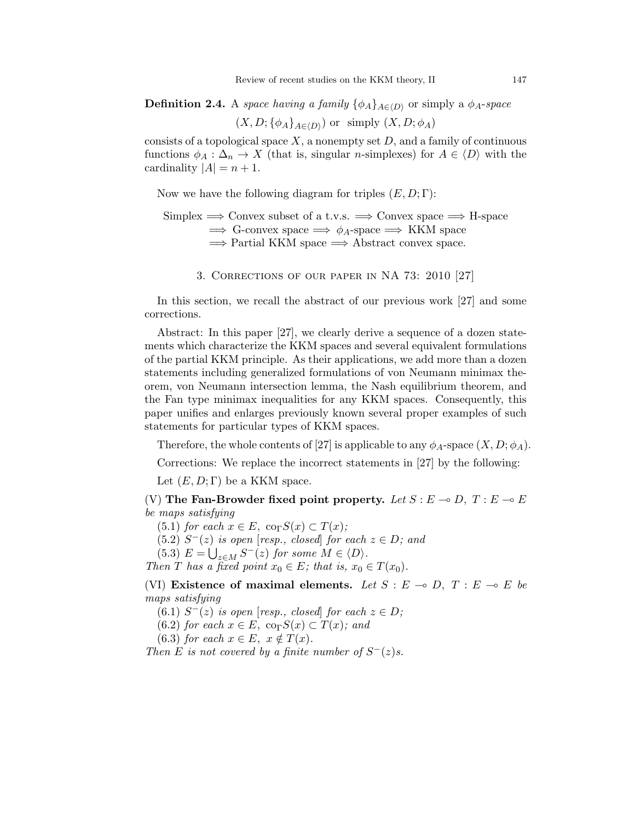**Definition 2.4.** A space having a family  $\{\phi_A\}_{A\in\{D\}}$  or simply a  $\phi_A$ -space

 $(X, D; {\phi_A}_{A \in \langle D \rangle})$  or simply  $(X, D; \phi_A)$ 

consists of a topological space  $X$ , a nonempty set  $D$ , and a family of continuous functions  $\phi_A : \Delta_n \to X$  (that is, singular *n*-simplexes) for  $A \in \langle D \rangle$  with the cardinality  $|A| = n + 1$ .

Now we have the following diagram for triples  $(E, D; \Gamma)$ :

Simplex  $\Rightarrow$  Convex subset of a t.v.s.  $\Rightarrow$  Convex space  $\Rightarrow$  H-space  $\Rightarrow$  G-convex space  $\Rightarrow \phi_A$ -space  $\Rightarrow$  KKM space  $\Rightarrow$  Partial KKM space  $\Rightarrow$  Abstract convex space.

3. Corrections of our paper in NA 73: 2010 [27]

In this section, we recall the abstract of our previous work [27] and some corrections.

Abstract: In this paper [27], we clearly derive a sequence of a dozen statements which characterize the KKM spaces and several equivalent formulations of the partial KKM principle. As their applications, we add more than a dozen statements including generalized formulations of von Neumann minimax theorem, von Neumann intersection lemma, the Nash equilibrium theorem, and the Fan type minimax inequalities for any KKM spaces. Consequently, this paper unifies and enlarges previously known several proper examples of such statements for particular types of KKM spaces.

Therefore, the whole contents of [27] is applicable to any  $\phi_A$ -space  $(X, D; \phi_A)$ .

Corrections: We replace the incorrect statements in [27] by the following:

Let  $(E, D; \Gamma)$  be a KKM space.

(V) The Fan-Browder fixed point property. Let  $S : E \to D$ ,  $T : E \to E$ be maps satisfying

(5.1) for each  $x \in E$ ,  $\text{co}_{\Gamma}S(x) \subset T(x)$ ;

 $(5.2)$   $S^{-}(z)$  is open [resp., closed] for each  $z \in D$ ; and

(5.3)  $E = \bigcup_{z \in M} S^{-}(z)$  for some  $M \in \langle D \rangle$ .

Then T has a fixed point  $x_0 \in E$ ; that is,  $x_0 \in T(x_0)$ .

(VI) Existence of maximal elements. Let  $S : E \multimap D, T : E \multimap E$  be maps satisfying

(6.1)  $S^-(z)$  is open [resp., closed] for each  $z \in D$ ;

(6.2) for each  $x \in E$ ,  $\text{co}_{\Gamma}S(x) \subset T(x)$ ; and

(6.3) for each  $x \in E$ ,  $x \notin T(x)$ .

Then E is not covered by a finite number of  $S^-(z)s$ .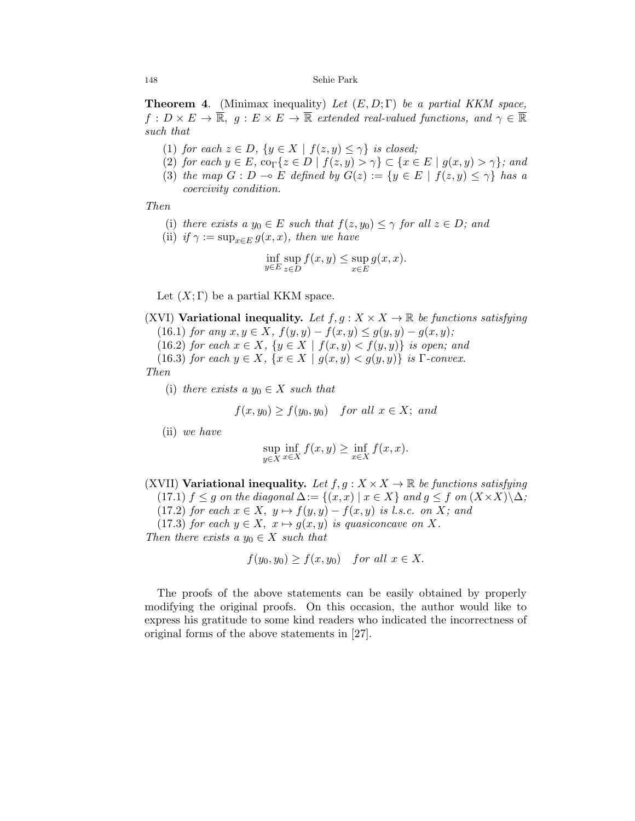#### 148 Sehie Park

**Theorem 4.** (Minimax inequality) Let  $(E, D; \Gamma)$  be a partial KKM space,  $f: D \times E \to \overline{\mathbb{R}}, \ g: E \times E \to \overline{\mathbb{R}}$  extended real-valued functions, and  $\gamma \in \overline{\mathbb{R}}$ such that

- (1) for each  $z \in D$ ,  $\{y \in X \mid f(z, y) \leq \gamma\}$  is closed;
- (2) for each  $y \in E$ ,  $\text{co}_{\Gamma} \{z \in D \mid f(z, y) > \gamma\} \subset \{x \in E \mid g(x, y) > \gamma\}$ ; and
- (3) the map  $G : D \multimap E$  defined by  $G(z) := \{y \in E \mid f(z, y) \leq \gamma\}$  has a coercivity condition.

Then

(i) there exists a  $y_0 \in E$  such that  $f(z, y_0) \leq \gamma$  for all  $z \in D$ ; and

(ii) if 
$$
\gamma := \sup_{x \in E} g(x, x)
$$
, then we have

$$
\inf_{y \in E} \sup_{z \in D} f(x, y) \le \sup_{x \in E} g(x, x).
$$

Let  $(X; \Gamma)$  be a partial KKM space.

(XVI) Variational inequality. Let  $f, g: X \times X \to \mathbb{R}$  be functions satisfying

(16.1) for any  $x, y \in X$ ,  $f(y, y) - f(x, y) \le g(y, y) - g(x, y)$ ;

(16.2) for each  $x \in X$ ,  $\{y \in X \mid f(x,y) < f(y,y)\}$  is open; and

(16.3) for each  $y \in X$ ,  $\{x \in X \mid g(x,y) < g(y,y)\}\$ is Γ-convex.

Then

(i) there exists a  $y_0 \in X$  such that

$$
f(x,y_0) \ge f(y_0, y_0) \quad \text{for all } x \in X; \text{ and}
$$

(ii) we have

$$
\sup_{y \in X} \inf_{x \in X} f(x, y) \ge \inf_{x \in X} f(x, x).
$$

(XVII) Variational inequality. Let  $f, g: X \times X \to \mathbb{R}$  be functions satisfying (17.1)  $f \leq g$  on the diagonal  $\Delta := \{(x, x) \mid x \in X\}$  and  $g \leq f$  on  $(X \times X) \setminus \Delta$ ; (17.2) for each  $x \in X$ ,  $y \mapsto f(y, y) - f(x, y)$  is l.s.c. on X; and (17.3) for each  $y \in X$ ,  $x \mapsto g(x, y)$  is quasiconcave on X. Then there exists a  $y_0 \in X$  such that

$$
f(y_0, y_0) \ge f(x, y_0) \quad \text{for all } x \in X.
$$

The proofs of the above statements can be easily obtained by properly modifying the original proofs. On this occasion, the author would like to express his gratitude to some kind readers who indicated the incorrectness of original forms of the above statements in [27].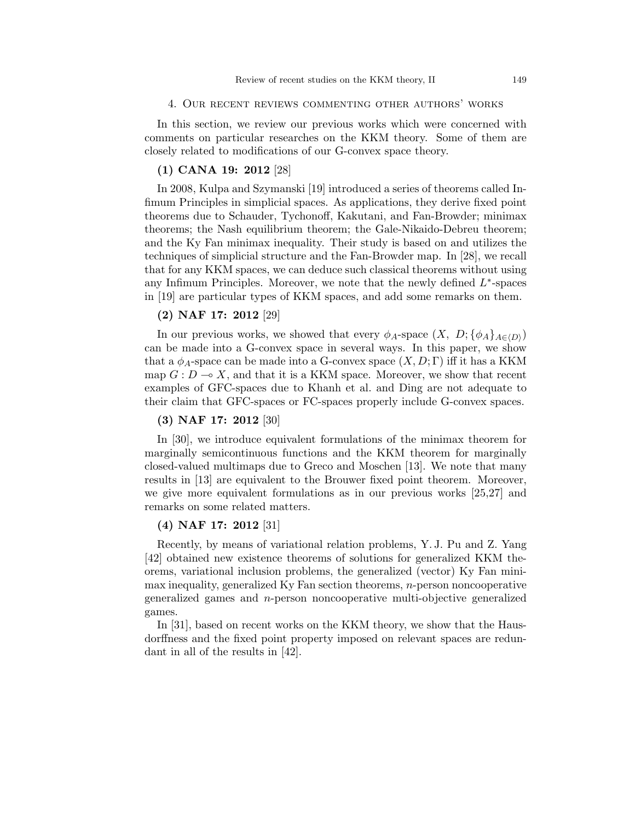#### 4. Our recent reviews commenting other authors' works

In this section, we review our previous works which were concerned with comments on particular researches on the KKM theory. Some of them are closely related to modifications of our G-convex space theory.

## (1) CANA 19: 2012 [28]

In 2008, Kulpa and Szymanski [19] introduced a series of theorems called Infimum Principles in simplicial spaces. As applications, they derive fixed point theorems due to Schauder, Tychonoff, Kakutani, and Fan-Browder; minimax theorems; the Nash equilibrium theorem; the Gale-Nikaido-Debreu theorem; and the Ky Fan minimax inequality. Their study is based on and utilizes the techniques of simplicial structure and the Fan-Browder map. In [28], we recall that for any KKM spaces, we can deduce such classical theorems without using any Infimum Principles. Moreover, we note that the newly defined  $L^*$ -spaces in [19] are particular types of KKM spaces, and add some remarks on them.

### (2) NAF 17: 2012 [29]

In our previous works, we showed that every  $\phi_A$ -space  $(X, D; {\phi_A}_{A\in(D)})$ can be made into a G-convex space in several ways. In this paper, we show that a  $\phi_A$ -space can be made into a G-convex space  $(X, D; \Gamma)$  iff it has a KKM map  $G: D \longrightarrow X$ , and that it is a KKM space. Moreover, we show that recent examples of GFC-spaces due to Khanh et al. and Ding are not adequate to their claim that GFC-spaces or FC-spaces properly include G-convex spaces.

### (3) NAF 17: 2012 [30]

In [30], we introduce equivalent formulations of the minimax theorem for marginally semicontinuous functions and the KKM theorem for marginally closed-valued multimaps due to Greco and Moschen [13]. We note that many results in [13] are equivalent to the Brouwer fixed point theorem. Moreover, we give more equivalent formulations as in our previous works [25,27] and remarks on some related matters.

### (4) NAF 17: 2012 [31]

Recently, by means of variational relation problems, Y. J. Pu and Z. Yang [42] obtained new existence theorems of solutions for generalized KKM theorems, variational inclusion problems, the generalized (vector) Ky Fan mini- $\max$  inequality, generalized Ky Fan section theorems, *n*-person noncooperative generalized games and n-person noncooperative multi-objective generalized games.

In [31], based on recent works on the KKM theory, we show that the Hausdorffness and the fixed point property imposed on relevant spaces are redundant in all of the results in [42].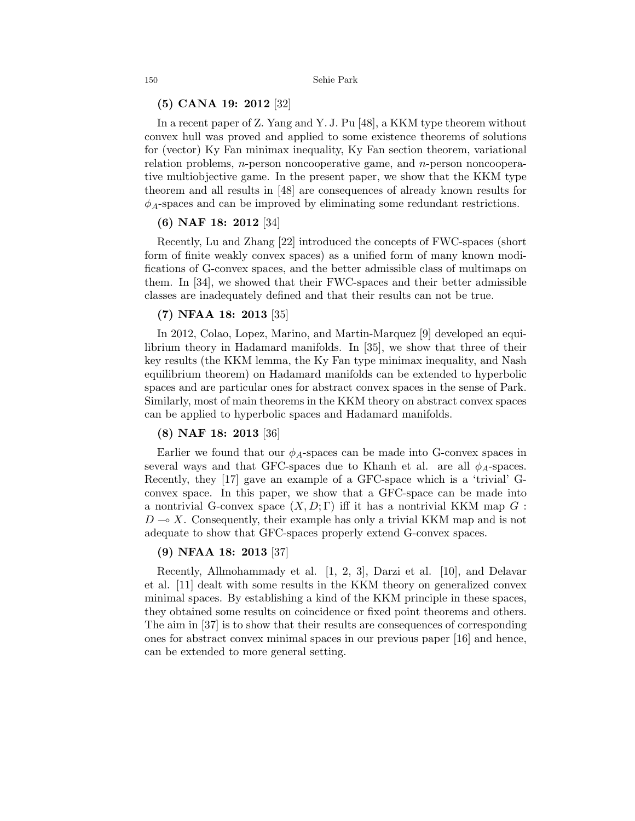### (5) CANA 19: 2012 [32]

In a recent paper of Z. Yang and Y. J. Pu [48], a KKM type theorem without convex hull was proved and applied to some existence theorems of solutions for (vector) Ky Fan minimax inequality, Ky Fan section theorem, variational relation problems,  $n$ -person noncooperative game, and  $n$ -person noncooperative multiobjective game. In the present paper, we show that the KKM type theorem and all results in [48] are consequences of already known results for  $\phi_A$ -spaces and can be improved by eliminating some redundant restrictions.

## (6) NAF 18: 2012 [34]

Recently, Lu and Zhang [22] introduced the concepts of FWC-spaces (short form of finite weakly convex spaces) as a unified form of many known modifications of G-convex spaces, and the better admissible class of multimaps on them. In [34], we showed that their FWC-spaces and their better admissible classes are inadequately defined and that their results can not be true.

## (7) NFAA 18: 2013 [35]

In 2012, Colao, Lopez, Marino, and Martin-Marquez [9] developed an equilibrium theory in Hadamard manifolds. In [35], we show that three of their key results (the KKM lemma, the Ky Fan type minimax inequality, and Nash equilibrium theorem) on Hadamard manifolds can be extended to hyperbolic spaces and are particular ones for abstract convex spaces in the sense of Park. Similarly, most of main theorems in the KKM theory on abstract convex spaces can be applied to hyperbolic spaces and Hadamard manifolds.

## (8) NAF 18: 2013 [36]

Earlier we found that our  $\phi_A$ -spaces can be made into G-convex spaces in several ways and that GFC-spaces due to Khanh et al. are all  $\phi_A$ -spaces. Recently, they [17] gave an example of a GFC-space which is a 'trivial' Gconvex space. In this paper, we show that a GFC-space can be made into a nontrivial G-convex space  $(X, D; \Gamma)$  iff it has a nontrivial KKM map G:  $D \rightarrow X$ . Consequently, their example has only a trivial KKM map and is not adequate to show that GFC-spaces properly extend G-convex spaces.

## (9) NFAA 18: 2013 [37]

Recently, Allmohammady et al. [1, 2, 3], Darzi et al. [10], and Delavar et al. [11] dealt with some results in the KKM theory on generalized convex minimal spaces. By establishing a kind of the KKM principle in these spaces, they obtained some results on coincidence or fixed point theorems and others. The aim in [37] is to show that their results are consequences of corresponding ones for abstract convex minimal spaces in our previous paper [16] and hence, can be extended to more general setting.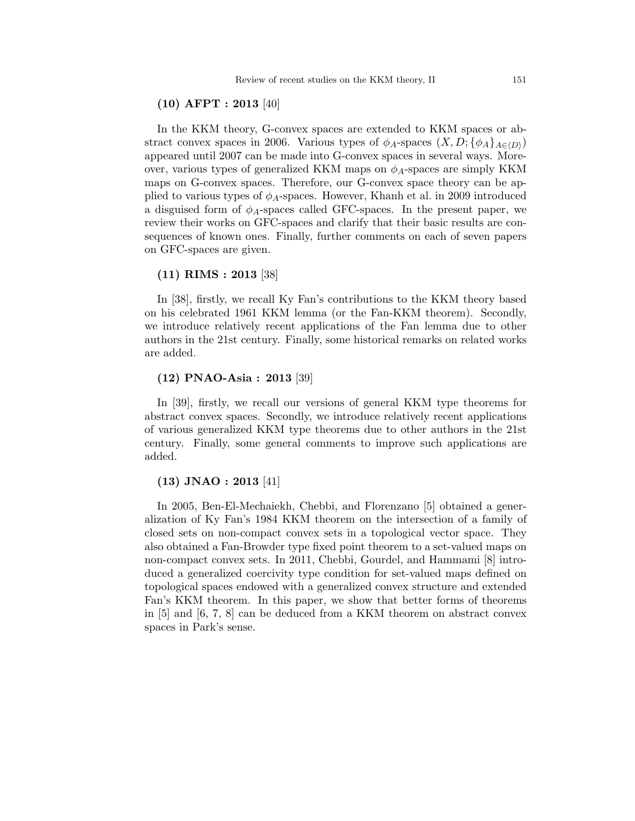### (10) AFPT : 2013 [40]

In the KKM theory, G-convex spaces are extended to KKM spaces or abstract convex spaces in 2006. Various types of  $\phi_A$ -spaces  $(X, D; {\phi_A}_{A\in\langle D \rangle})$ appeared until 2007 can be made into G-convex spaces in several ways. Moreover, various types of generalized KKM maps on  $\phi_A$ -spaces are simply KKM maps on G-convex spaces. Therefore, our G-convex space theory can be applied to various types of  $\phi_A$ -spaces. However, Khanh et al. in 2009 introduced a disguised form of  $\phi_A$ -spaces called GFC-spaces. In the present paper, we review their works on GFC-spaces and clarify that their basic results are consequences of known ones. Finally, further comments on each of seven papers on GFC-spaces are given.

### (11) RIMS : 2013 [38]

In [38], firstly, we recall Ky Fan's contributions to the KKM theory based on his celebrated 1961 KKM lemma (or the Fan-KKM theorem). Secondly, we introduce relatively recent applications of the Fan lemma due to other authors in the 21st century. Finally, some historical remarks on related works are added.

### (12) PNAO-Asia : 2013 [39]

In [39], firstly, we recall our versions of general KKM type theorems for abstract convex spaces. Secondly, we introduce relatively recent applications of various generalized KKM type theorems due to other authors in the 21st century. Finally, some general comments to improve such applications are added.

### (13) JNAO : 2013 [41]

In 2005, Ben-El-Mechaiekh, Chebbi, and Florenzano [5] obtained a generalization of Ky Fan's 1984 KKM theorem on the intersection of a family of closed sets on non-compact convex sets in a topological vector space. They also obtained a Fan-Browder type fixed point theorem to a set-valued maps on non-compact convex sets. In 2011, Chebbi, Gourdel, and Hammami [8] introduced a generalized coercivity type condition for set-valued maps defined on topological spaces endowed with a generalized convex structure and extended Fan's KKM theorem. In this paper, we show that better forms of theorems in [5] and [6, 7, 8] can be deduced from a KKM theorem on abstract convex spaces in Park's sense.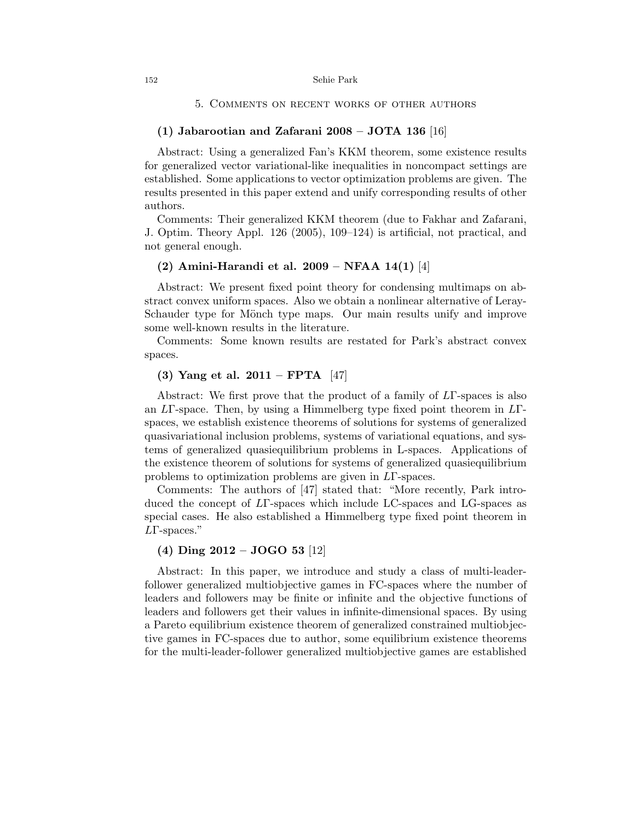#### 5. Comments on recent works of other authors

### (1) Jabarootian and Zafarani 2008 – JOTA 136 [16]

Abstract: Using a generalized Fan's KKM theorem, some existence results for generalized vector variational-like inequalities in noncompact settings are established. Some applications to vector optimization problems are given. The results presented in this paper extend and unify corresponding results of other authors.

Comments: Their generalized KKM theorem (due to Fakhar and Zafarani, J. Optim. Theory Appl. 126 (2005), 109–124) is artificial, not practical, and not general enough.

## (2) Amini-Harandi et al. 2009 – NFAA 14(1) [4]

Abstract: We present fixed point theory for condensing multimaps on abstract convex uniform spaces. Also we obtain a nonlinear alternative of Leray-Schauder type for Mönch type maps. Our main results unify and improve some well-known results in the literature.

Comments: Some known results are restated for Park's abstract convex spaces.

## (3) Yang et al.  $2011 - FPTA$  [47]

Abstract: We first prove that the product of a family of LΓ-spaces is also an LΓ-space. Then, by using a Himmelberg type fixed point theorem in LΓspaces, we establish existence theorems of solutions for systems of generalized quasivariational inclusion problems, systems of variational equations, and systems of generalized quasiequilibrium problems in L-spaces. Applications of the existence theorem of solutions for systems of generalized quasiequilibrium problems to optimization problems are given in LΓ-spaces.

Comments: The authors of [47] stated that: "More recently, Park introduced the concept of LΓ-spaces which include LC-spaces and LG-spaces as special cases. He also established a Himmelberg type fixed point theorem in LΓ-spaces."

### (4) Ding 2012 – JOGO 53 [12]

Abstract: In this paper, we introduce and study a class of multi-leaderfollower generalized multiobjective games in FC-spaces where the number of leaders and followers may be finite or infinite and the objective functions of leaders and followers get their values in infinite-dimensional spaces. By using a Pareto equilibrium existence theorem of generalized constrained multiobjective games in FC-spaces due to author, some equilibrium existence theorems for the multi-leader-follower generalized multiobjective games are established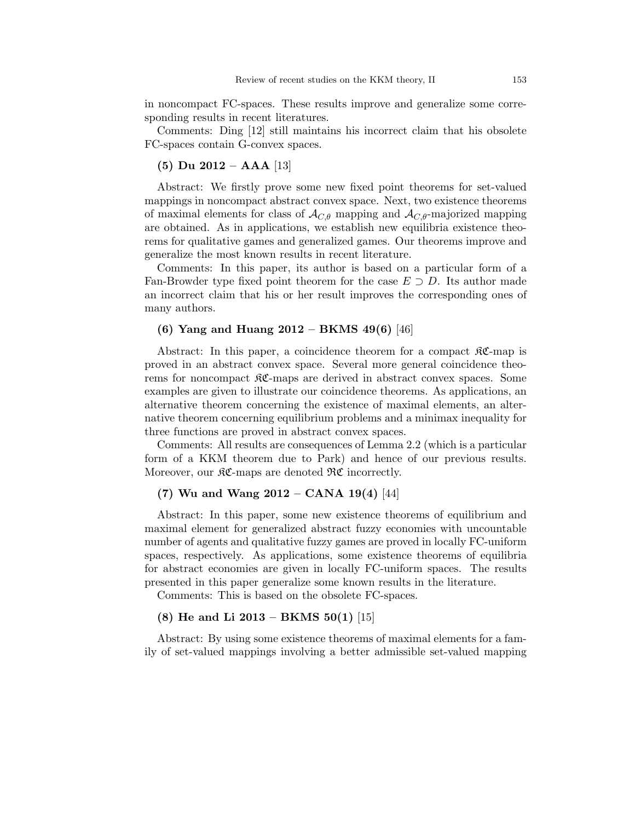in noncompact FC-spaces. These results improve and generalize some corresponding results in recent literatures.

Comments: Ding [12] still maintains his incorrect claim that his obsolete FC-spaces contain G-convex spaces.

## (5) Du 2012 – AAA [13]

Abstract: We firstly prove some new fixed point theorems for set-valued mappings in noncompact abstract convex space. Next, two existence theorems of maximal elements for class of  $\mathcal{A}_{C,\theta}$  mapping and  $\mathcal{A}_{C,\theta}$ -majorized mapping are obtained. As in applications, we establish new equilibria existence theorems for qualitative games and generalized games. Our theorems improve and generalize the most known results in recent literature.

Comments: In this paper, its author is based on a particular form of a Fan-Browder type fixed point theorem for the case  $E \supset D$ . Its author made an incorrect claim that his or her result improves the corresponding ones of many authors.

## (6) Yang and Huang 2012 – BKMS 49(6) [46]

Abstract: In this paper, a coincidence theorem for a compact  $\Re \mathfrak{C}$ -map is proved in an abstract convex space. Several more general coincidence theorems for noncompact  $\mathfrak{K}C$ -maps are derived in abstract convex spaces. Some examples are given to illustrate our coincidence theorems. As applications, an alternative theorem concerning the existence of maximal elements, an alternative theorem concerning equilibrium problems and a minimax inequality for three functions are proved in abstract convex spaces.

Comments: All results are consequences of Lemma 2.2 (which is a particular form of a KKM theorem due to Park) and hence of our previous results. Moreover, our  $\Re\mathfrak{C}$ -maps are denoted  $\Re\mathfrak{C}$  incorrectly.

# (7) Wu and Wang  $2012 - CANA 19(4)$  [44]

Abstract: In this paper, some new existence theorems of equilibrium and maximal element for generalized abstract fuzzy economies with uncountable number of agents and qualitative fuzzy games are proved in locally FC-uniform spaces, respectively. As applications, some existence theorems of equilibria for abstract economies are given in locally FC-uniform spaces. The results presented in this paper generalize some known results in the literature.

Comments: This is based on the obsolete FC-spaces.

## (8) He and Li 2013 – BKMS  $50(1)$  [15]

Abstract: By using some existence theorems of maximal elements for a family of set-valued mappings involving a better admissible set-valued mapping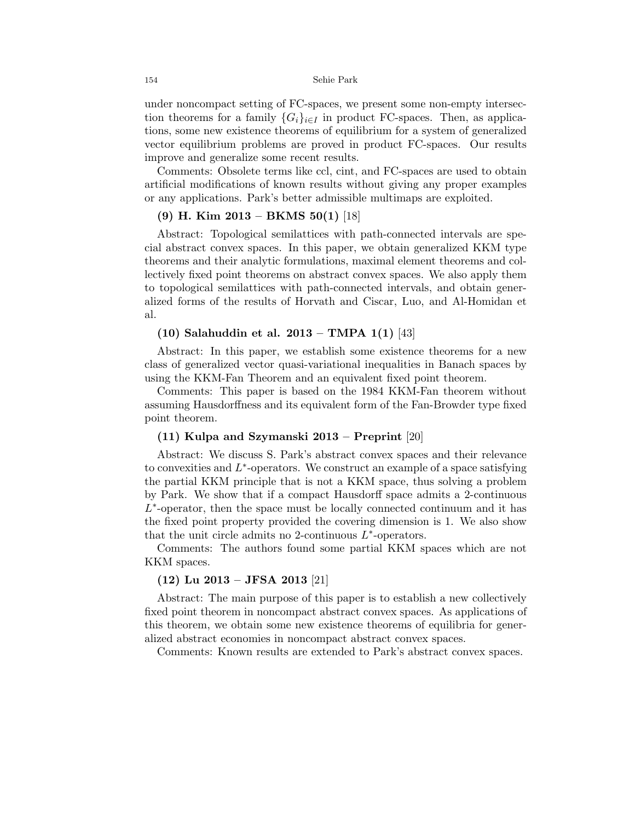under noncompact setting of FC-spaces, we present some non-empty intersection theorems for a family  ${G_i}_{i \in I}$  in product FC-spaces. Then, as applications, some new existence theorems of equilibrium for a system of generalized vector equilibrium problems are proved in product FC-spaces. Our results improve and generalize some recent results.

Comments: Obsolete terms like ccl, cint, and FC-spaces are used to obtain artificial modifications of known results without giving any proper examples or any applications. Park's better admissible multimaps are exploited.

## (9) H. Kim 2013 – BKMS 50(1) [18]

Abstract: Topological semilattices with path-connected intervals are special abstract convex spaces. In this paper, we obtain generalized KKM type theorems and their analytic formulations, maximal element theorems and collectively fixed point theorems on abstract convex spaces. We also apply them to topological semilattices with path-connected intervals, and obtain generalized forms of the results of Horvath and Ciscar, Luo, and Al-Homidan et al.

### (10) Salahuddin et al. 2013 – TMPA 1(1) [43]

Abstract: In this paper, we establish some existence theorems for a new class of generalized vector quasi-variational inequalities in Banach spaces by using the KKM-Fan Theorem and an equivalent fixed point theorem.

Comments: This paper is based on the 1984 KKM-Fan theorem without assuming Hausdorffness and its equivalent form of the Fan-Browder type fixed point theorem.

### (11) Kulpa and Szymanski 2013 – Preprint [20]

Abstract: We discuss S. Park's abstract convex spaces and their relevance to convexities and  $L^*$ -operators. We construct an example of a space satisfying the partial KKM principle that is not a KKM space, thus solving a problem by Park. We show that if a compact Hausdorff space admits a 2-continuous  $L^*$ -operator, then the space must be locally connected continuum and it has the fixed point property provided the covering dimension is 1. We also show that the unit circle admits no 2-continuous  $L^*$ -operators.

Comments: The authors found some partial KKM spaces which are not KKM spaces.

## (12) Lu 2013 – JFSA 2013 [21]

Abstract: The main purpose of this paper is to establish a new collectively fixed point theorem in noncompact abstract convex spaces. As applications of this theorem, we obtain some new existence theorems of equilibria for generalized abstract economies in noncompact abstract convex spaces.

Comments: Known results are extended to Park's abstract convex spaces.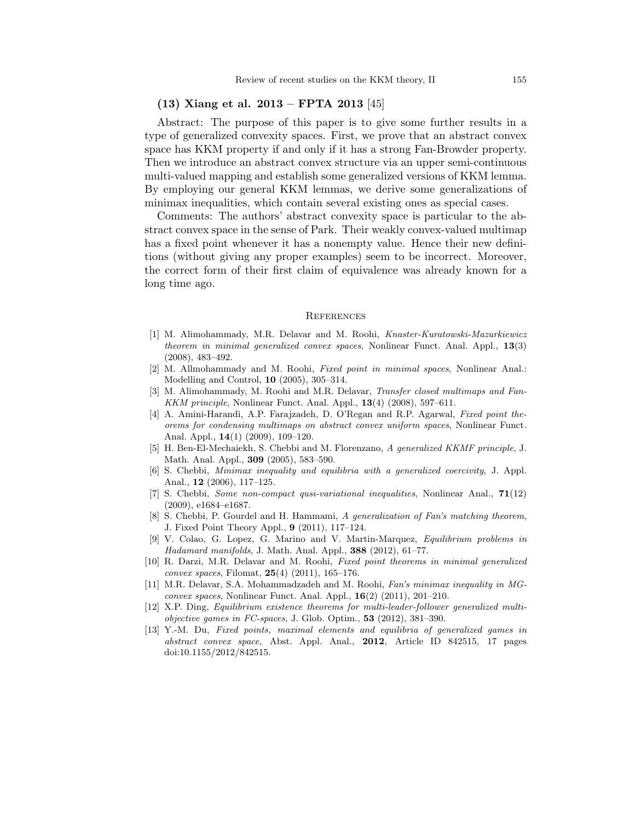### (13) Xiang et al. 2013 – FPTA 2013 [45]

Abstract: The purpose of this paper is to give some further results in a type of generalized convexity spaces. First, we prove that an abstract convex space has KKM property if and only if it has a strong Fan-Browder property. Then we introduce an abstract convex structure via an upper semi-continuous multi-valued mapping and establish some generalized versions of KKM lemma. By employing our general KKM lemmas, we derive some generalizations of minimax inequalities, which contain several existing ones as special cases.

Comments: The authors' abstract convexity space is particular to the abstract convex space in the sense of Park. Their weakly convex-valued multimap has a fixed point whenever it has a nonempty value. Hence their new definitions (without giving any proper examples) seem to be incorrect. Moreover, the correct form of their first claim of equivalence was already known for a long time ago.

#### **REFERENCES**

- [1] M. Alimohammady, M.R. Delavar and M. Roohi, Knaster-Kuratowski-Mazurkiewicz theorem in minimal generalized convex spaces, Nonlinear Funct. Anal. Appl., 13(3) (2008), 483–492.
- [2] M. Allmohammady and M. Roohi, Fixed point in minimal spaces, Nonlinear Anal.: Modelling and Control, 10 (2005), 305–314.
- [3] M. Alimohammady, M. Roohi and M.R. Delavar, Transfer closed multimaps and Fan-KKM principle, Nonlinear Funct. Anal. Appl., 13(4) (2008), 597–611.
- [4] A. Amini-Harandi, A.P. Farajzadeh, D. O'Regan and R.P. Agarwal, Fixed point theorems for condensing multimaps on abstract convex uniform spaces, Nonlinear Funct. Anal. Appl., 14(1) (2009), 109–120.
- [5] H. Ben-El-Mechaiekh, S. Chebbi and M. Florenzano, A generalized KKMF principle, J. Math. Anal. Appl., 309 (2005), 583–590.
- [6] S. Chebbi, Minimax inequality and equilibria with a generalized coercivity, J. Appl. Anal., 12 (2006), 117–125.
- [7] S. Chebbi, Some non-compact qusi-variational inequalities, Nonlinear Anal., 71(12) (2009), e1684–e1687.
- [8] S. Chebbi, P. Gourdel and H. Hammami, A generalization of Fan's matching theorem, J. Fixed Point Theory Appl., 9 (2011), 117–124.
- [9] V. Colao, G. Lopez, G. Marino and V. Martin-Marquez, Equilibrium problems in Hadamard manifolds, J. Math. Anal. Appl., 388 (2012), 61–77.
- [10] R. Darzi, M.R. Delavar and M. Roohi, Fixed point theorems in minimal generalized *convex spaces*, Filomat,  $25(4)$  (2011), 165–176.
- [11] M.R. Delavar, S.A. Mohammadzadeh and M. Roohi, Fan's minimax inequality in MGconvex spaces, Nonlinear Funct. Anal. Appl.,  $16(2)$  (2011), 201–210.
- [12] X.P. Ding, Equilibrium existence theorems for multi-leader-follower generalized multi*objective games in FC-spaces, J. Glob. Optim.,* **53** (2012),  $381-390$ .
- [13] Y.-M. Du, Fixed points, maximal elements and equilibria of generalized games in abstract convex space, Abst. Appl. Anal., 2012, Article ID 842515, 17 pages doi:10.1155/2012/842515.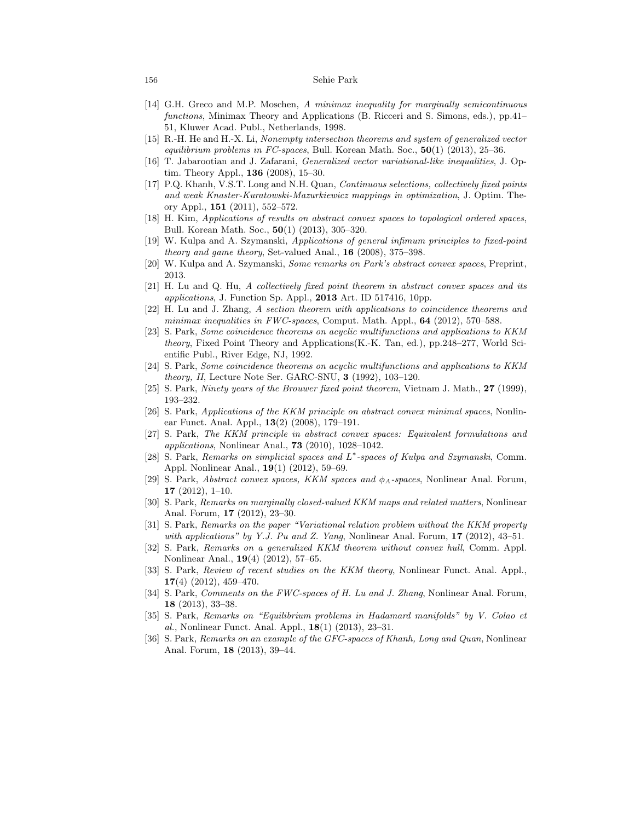#### 156 Sehie Park

- [14] G.H. Greco and M.P. Moschen, A minimax inequality for marginally semicontinuous functions, Minimax Theory and Applications (B. Ricceri and S. Simons, eds.), pp.41– 51, Kluwer Acad. Publ., Netherlands, 1998.
- [15] R.-H. He and H.-X. Li, Nonempty intersection theorems and system of generalized vector equilibrium problems in FC-spaces, Bull. Korean Math. Soc.,  $50(1)$  (2013), 25–36.
- [16] T. Jabarootian and J. Zafarani, Generalized vector variational-like inequalities, J. Optim. Theory Appl., 136 (2008), 15–30.
- [17] P.Q. Khanh, V.S.T. Long and N.H. Quan, Continuous selections, collectively fixed points and weak Knaster-Kuratowski-Mazurkiewicz mappings in optimization, J. Optim. Theory Appl., 151 (2011), 552–572.
- [18] H. Kim, Applications of results on abstract convex spaces to topological ordered spaces, Bull. Korean Math. Soc., 50(1) (2013), 305–320.
- [19] W. Kulpa and A. Szymanski, Applications of general infimum principles to fixed-point theory and game theory, Set-valued Anal., 16 (2008), 375–398.
- [20] W. Kulpa and A. Szymanski, Some remarks on Park's abstract convex spaces, Preprint, 2013.
- [21] H. Lu and Q. Hu, A collectively fixed point theorem in abstract convex spaces and its applications, J. Function Sp. Appl., 2013 Art. ID 517416, 10pp.
- [22] H. Lu and J. Zhang, A section theorem with applications to coincidence theorems and minimax inequalities in  $FWC$ -spaces, Comput. Math. Appl.,  $64$  (2012), 570–588.
- [23] S. Park, Some coincidence theorems on acyclic multifunctions and applications to KKM theory, Fixed Point Theory and Applications(K.-K. Tan, ed.), pp.248–277, World Scientific Publ., River Edge, NJ, 1992.
- [24] S. Park, Some coincidence theorems on acyclic multifunctions and applications to KKM theory, II, Lecture Note Ser. GARC-SNU, 3 (1992), 103–120.
- [25] S. Park, Ninety years of the Brouwer fixed point theorem, Vietnam J. Math., 27 (1999), 193–232.
- [26] S. Park, Applications of the KKM principle on abstract convex minimal spaces, Nonlinear Funct. Anal. Appl., 13(2) (2008), 179–191.
- [27] S. Park, The KKM principle in abstract convex spaces: Equivalent formulations and applications, Nonlinear Anal., 73 (2010), 1028–1042.
- [28] S. Park, Remarks on simplicial spaces and L<sup>\*</sup>-spaces of Kulpa and Szymanski, Comm. Appl. Nonlinear Anal., 19(1) (2012), 59–69.
- [29] S. Park, Abstract convex spaces, KKM spaces and  $\phi_A$ -spaces, Nonlinear Anal. Forum, 17 (2012), 1–10.
- [30] S. Park, Remarks on marginally closed-valued KKM maps and related matters, Nonlinear Anal. Forum, 17 (2012), 23–30.
- [31] S. Park, Remarks on the paper "Variational relation problem without the KKM property with applications" by Y.J. Pu and Z. Yang, Nonlinear Anal. Forum,  $17$  (2012), 43–51.
- [32] S. Park, Remarks on a generalized KKM theorem without convex hull, Comm. Appl. Nonlinear Anal., 19(4) (2012), 57–65.
- [33] S. Park, Review of recent studies on the KKM theory, Nonlinear Funct. Anal. Appl.,  $17(4)$  (2012), 459-470.
- [34] S. Park, *Comments on the FWC-spaces of H. Lu and J. Zhang*, Nonlinear Anal. Forum, 18 (2013), 33–38.
- [35] S. Park, Remarks on "Equilibrium problems in Hadamard manifolds" by V. Colao et al., Nonlinear Funct. Anal. Appl., 18(1) (2013), 23–31.
- [36] S. Park, Remarks on an example of the GFC-spaces of Khanh, Long and Quan, Nonlinear Anal. Forum, 18 (2013), 39–44.